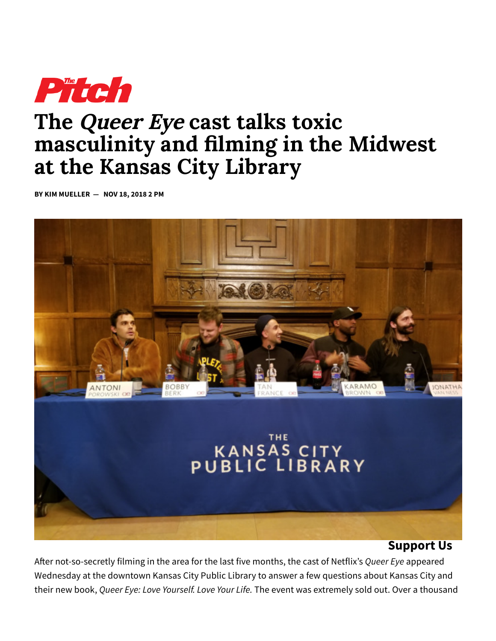

# **The Queer Eye cast talks toxic masculinity and lming in the Midwest at the Kansas City Library**

**BY KIM MUELLER — NOV 18, 2018 2 PM**



### **Support Us**

After not-so-secretly filming in the area for the last five months, the cast of Netflix's *Queer Eye* appeared Wednesday at the downtown Kansas City Public Library to answer a few questions about Kansas City and their new book, *Queer Eye: Love Yourself. Love Your Life.* The event was extremely sold out. Over a thousand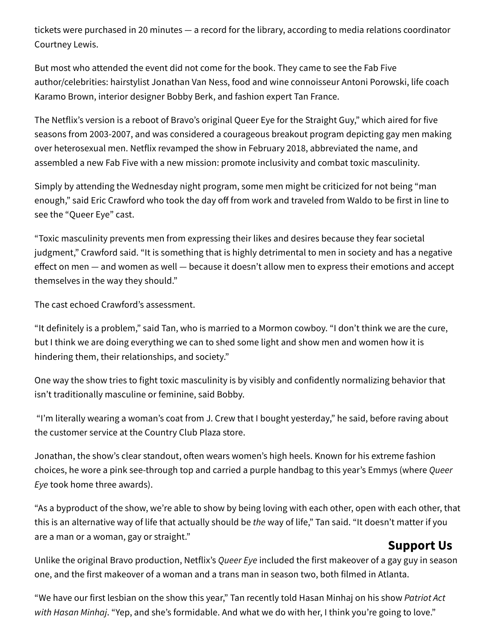tickets were purchased in 20 minutes — a record for the library, according to media relations coordinator Courtney Lewis.

But most who attended the event did not come for the book. They came to see the Fab Five author/celebrities: hairstylist Jonathan Van Ness, food and wine connoisseur Antoni Porowski, life coach Karamo Brown, interior designer Bobby Berk, and fashion expert Tan France.

The Netflix's version is a reboot of Bravo's original Queer Eye for the Straight Guy," which aired for five seasons from 2003-2007, and was considered a courageous breakout program depicting gay men making over heterosexual men. Netflix revamped the show in February 2018, abbreviated the name, and assembled a new Fab Five with a new mission: promote inclusivity and combat toxic masculinity.

Simply by attending the Wednesday night program, some men might be criticized for not being "man enough," said Eric Crawford who took the day off from work and traveled from Waldo to be first in line to see the "Queer Eye" cast.

"Toxic masculinity prevents men from expressing their likes and desires because they fear societal judgment," Crawford said. "It is something that is highly detrimental to men in society and has a negative effect on men  $-$  and women as well  $-$  because it doesn't allow men to express their emotions and accept themselves in the way they should."

The cast echoed Crawford's assessment.

"It definitely is a problem," said Tan, who is married to a Mormon cowboy. "I don't think we are the cure, but I think we are doing everything we can to shed some light and show men and women how it is hindering them, their relationships, and society."

One way the show tries to fight toxic masculinity is by visibly and confidently normalizing behavior that isn't traditionally masculine or feminine, said Bobby.

"I'm literally wearing a woman's coat from J. Crew that I bought yesterday," he said, before raving about the customer service at the Country Club Plaza store.

Jonathan, the show's clear standout, often wears women's high heels. Known for his extreme fashion choices, he wore a pink see-through top and carried a purple handbag to this year's Emmys (where *Queer Eye* took home three awards).

"As a byproduct of the show, we're able to show by being loving with each other, open with each other, that this is an alternative way of life that actually should be *the* way of life," Tan said. "It doesn't matter if you are a man or a woman, gay or straight."

## **Support Us**

Unlike the original Bravo production, Netflix's *Queer Eye* included the first makeover of a gay guy in season one, and the first makeover of a woman and a trans man in season two, both filmed in Atlanta.

"We have our first lesbian on the show this year," Tan recently told Hasan Minhaj on his show *Patriot Act with Hasan Minhaj*. "Yep, and she's formidable. And what we do with her, I think you're going to love."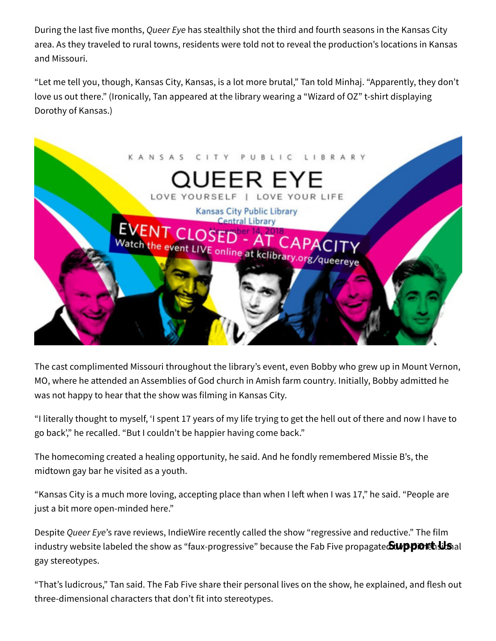During the last five months, *Queer Eye* has stealthily shot the third and fourth seasons in the Kansas City area. As they traveled to rural towns, residents were told not to reveal the production's locations in Kansas and Missouri.

"Let me tell you, though, Kansas City, Kansas, is a lot more brutal," Tan told Minhaj. "Apparently, they don't love us out there." (Ironically, Tan appeared at the library wearing a "Wizard of OZ" t-shirt displaying Dorothy of Kansas.)



The cast complimented Missouri throughout the library's event, even Bobby who grew up in Mount Vernon, MO, where he attended an Assemblies of God church in Amish farm country. Initially, Bobby admitted he was not happy to hear that the show was filming in Kansas City.

"I literally thought to myself, 'I spent 17 years of my life trying to get the hell out of there and now I have to go back'," he recalled. "But I couldn't be happier having come back."

The homecoming created a healing opportunity, he said. And he fondly remembered Missie B's, the midtown gay bar he visited as a youth.

"Kansas City is a much more loving, accepting place than when I left when I was 17," he said. "People are just a bit more open-minded here."

Despite *Queer Eye*'s rave reviews, IndieWire recently called the show "regressive and reductive." The film industry website labeled the show as "faux-progressive" because the Fab Five propagate**&upporthsils** al gay stereotypes.

"That's ludicrous," Tan said. The Fab Five share their personal lives on the show, he explained, and flesh out three-dimensional characters that don't fit into stereotypes.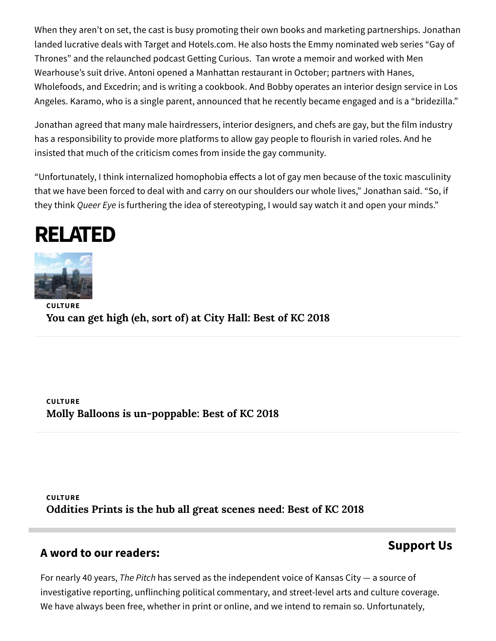When they aren't on set, the cast is busy promoting their own books and marketing partnerships. Jonathan landed lucrative deals with Target and Hotels.com. He also hosts the Emmy nominated web series "Gay of Thrones" and the relaunched podcast Getting Curious. Tan wrote a memoir and worked with Men Wearhouse's suit drive. Antoni opened a Manhattan restaurant in October; partners with Hanes, Wholefoods, and Excedrin; and is writing a cookbook. And Bobby operates an interior design service in Los Angeles. Karamo, who is a single parent, announced that he recently became engaged and is a "bridezilla."

Jonathan agreed that many male hairdressers, interior designers, and chefs are gay, but the film industry has a responsibility to provide more platforms to allow gay people to flourish in varied roles. And he insisted that much of the criticism comes from inside the gay community.

"Unfortunately, I think internalized homophobia effects a lot of gay men because of the toxic masculinity that we have been forced to deal with and carry on our shoulders our whole lives," Jonathan said. "So, if they think *Queer Eye* is furthering the idea of stereotyping, I would say watch it and open your minds."





**CULTURE You can get high (eh, sort of) at City Hall: Best of KC 2018**

**CULTURE Molly Balloons is un-poppable: Best of KC 2018**

**CULTURE Oddities Prints is the hub all great scenes need: Best of KC 2018**

### **A word to our readers:**

## **Support Us**

For nearly 40 years, *The Pitch* has served as the independent voice of Kansas City — a source of investigative reporting, unflinching political commentary, and street-level arts and culture coverage. We have always been free, whether in print or online, and we intend to remain so. Unfortunately,